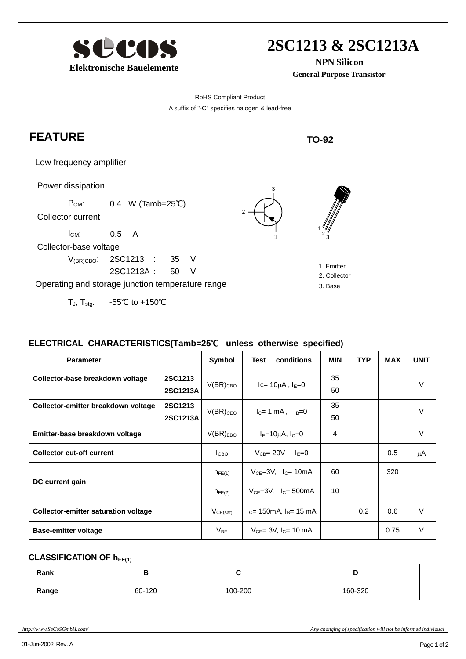

# **2SC1213 & 2SC1213A**

**NPN Silicon General Purpose Transistor**

RoHS Compliant Product A suffix of "-C" specifies halogen & lead-free

2

### **FEATURE**

Low frequency amplifier

Power dissipation

P<sub>CM</sub>: 0.4 W (Tamb=25°C)

Collector current

 $I_{CM}$ : 0.5 A

Collector-base voltage

 V(BR)CBO: 2SC1213 : 35 V 2SC1213A : 50 V

Operating and storage junction temperature range

T<sub>J</sub>, T<sub>stg</sub>:  $-55^{\circ}$ C to +150 °C





1  $2\frac{9}{3}$ 

**TO-92**

- 2. Collector
- 3. Base

#### **ELECTRICAL CHARACTERISTICS(Tamb=25**℃ **unless otherwise specified)**

| <b>Parameter</b>                            |                | Symbol        | conditions<br>Test              | <b>MIN</b> | <b>TYP</b> | <b>MAX</b> | <b>UNIT</b> |
|---------------------------------------------|----------------|---------------|---------------------------------|------------|------------|------------|-------------|
| Collector-base breakdown voltage            | <b>2SC1213</b> | $V(BR)_{CBO}$ | $lc=10\mu A$ , $l_E=0$          | 35         |            |            | V           |
|                                             | 2SC1213A       |               |                                 | 50         |            |            |             |
| Collector-emitter breakdown voltage         | 2SC1213        | $V(BR)_{CEO}$ | $I_C = 1$ mA, $I_B = 0$         | 35         |            |            | V           |
|                                             | 2SC1213A       |               |                                 | 50         |            |            |             |
| Emitter-base breakdown voltage              |                | $V(BR)_{EBO}$ | $IE=10\mu A, IC=0$              | 4          |            |            | $\vee$      |
| <b>Collector cut-off current</b>            |                | <b>I</b> сво  | $V_{CB} = 20V$ , $I_E = 0$      |            |            | 0.5        | μA          |
| DC current gain                             |                | $h_{FE(1)}$   | $V_{CE} = 3V$ , $I_C = 10mA$    | 60         |            | 320        |             |
|                                             |                | $h_{FE(2)}$   | $V_{CF}$ =3V, $I_{C}$ = 500mA   | 10         |            |            |             |
| <b>Collector-emitter saturation voltage</b> |                | $V_{CE(sat)}$ | $IC = 150mA$ , $IB = 15 mA$     |            | 0.2        | 0.6        | V           |
| <b>Base-emitter voltage</b>                 |                | $V_{BE}$      | $V_{CF} = 3V$ , $I_{C} = 10$ mA |            |            | 0.75       | V           |

#### **CLASSIFICATION OF hFE(1)**

| Rank  | D      |         |         |
|-------|--------|---------|---------|
| Range | 60-120 | 100-200 | 160-320 |